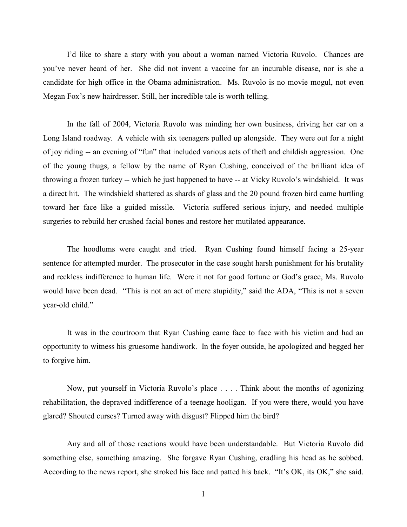I'd like to share a story with you about a woman named Victoria Ruvolo. Chances are you've never heard of her. She did not invent a vaccine for an incurable disease, nor is she a candidate for high office in the Obama administration. Ms. Ruvolo is no movie mogul, not even Megan Fox's new hairdresser. Still, her incredible tale is worth telling.

In the fall of 2004, Victoria Ruvolo was minding her own business, driving her car on a Long Island roadway. A vehicle with six teenagers pulled up alongside. They were out for a night of joy riding -- an evening of "fun" that included various acts of theft and childish aggression. One of the young thugs, a fellow by the name of Ryan Cushing, conceived of the brilliant idea of throwing a frozen turkey -- which he just happened to have -- at Vicky Ruvolo's windshield. It was a direct hit. The windshield shattered as shards of glass and the 20 pound frozen bird came hurtling toward her face like a guided missile. Victoria suffered serious injury, and needed multiple surgeries to rebuild her crushed facial bones and restore her mutilated appearance.

The hoodlums were caught and tried. Ryan Cushing found himself facing a 25-year sentence for attempted murder. The prosecutor in the case sought harsh punishment for his brutality and reckless indifference to human life. Were it not for good fortune or God's grace, Ms. Ruvolo would have been dead. "This is not an act of mere stupidity," said the ADA, "This is not a seven year-old child."

It was in the courtroom that Ryan Cushing came face to face with his victim and had an opportunity to witness his gruesome handiwork. In the foyer outside, he apologized and begged her to forgive him.

Now, put yourself in Victoria Ruvolo's place . . . . Think about the months of agonizing rehabilitation, the depraved indifference of a teenage hooligan. If you were there, would you have glared? Shouted curses? Turned away with disgust? Flipped him the bird?

Any and all of those reactions would have been understandable. But Victoria Ruvolo did something else, something amazing. She forgave Ryan Cushing, cradling his head as he sobbed. According to the news report, she stroked his face and patted his back. "It's OK, its OK," she said.

1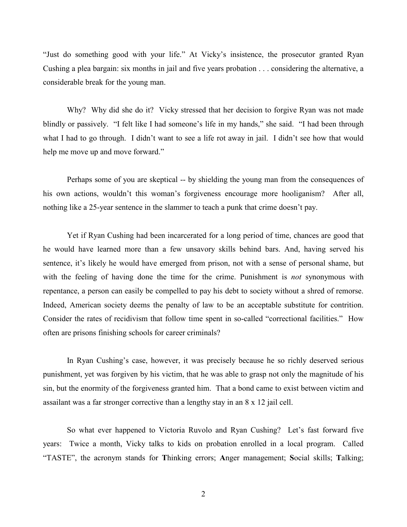"Just do something good with your life." At Vicky's insistence, the prosecutor granted Ryan Cushing a plea bargain: six months in jail and five years probation . . . considering the alternative, a considerable break for the young man.

Why? Why did she do it? Vicky stressed that her decision to forgive Ryan was not made blindly or passively. "I felt like I had someone's life in my hands," she said. "I had been through what I had to go through. I didn't want to see a life rot away in jail. I didn't see how that would help me move up and move forward."

Perhaps some of you are skeptical -- by shielding the young man from the consequences of his own actions, wouldn't this woman's forgiveness encourage more hooliganism? After all, nothing like a 25-year sentence in the slammer to teach a punk that crime doesn't pay.

Yet if Ryan Cushing had been incarcerated for a long period of time, chances are good that he would have learned more than a few unsavory skills behind bars. And, having served his sentence, it's likely he would have emerged from prison, not with a sense of personal shame, but with the feeling of having done the time for the crime. Punishment is *not* synonymous with repentance, a person can easily be compelled to pay his debt to society without a shred of remorse. Indeed, American society deems the penalty of law to be an acceptable substitute for contrition. Consider the rates of recidivism that follow time spent in so-called "correctional facilities." How often are prisons finishing schools for career criminals?

In Ryan Cushing's case, however, it was precisely because he so richly deserved serious punishment, yet was forgiven by his victim, that he was able to grasp not only the magnitude of his sin, but the enormity of the forgiveness granted him. That a bond came to exist between victim and assailant was a far stronger corrective than a lengthy stay in an 8 x 12 jail cell.

So what ever happened to Victoria Ruvolo and Ryan Cushing? Let's fast forward five years: Twice a month, Vicky talks to kids on probation enrolled in a local program. Called "TASTE", the acronym stands for **T**hinking errors; **A**nger management; **S**ocial skills; **T**alking;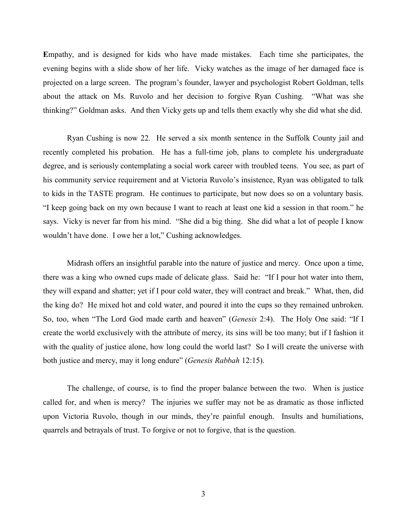**E**mpathy, and is designed for kids who have made mistakes. Each time she participates, the evening begins with a slide show of her life. Vicky watches as the image of her damaged face is projected on a large screen. The program's founder, lawyer and psychologist Robert Goldman, tells about the attack on Ms. Ruvolo and her decision to forgive Ryan Cushing. "What was she thinking?" Goldman asks. And then Vicky gets up and tells them exactly why she did what she did.

Ryan Cushing is now 22. He served a six month sentence in the Suffolk County jail and recently completed his probation. He has a full-time job, plans to complete his undergraduate degree, and is seriously contemplating a social work career with troubled teens. You see, as part of his community service requirement and at Victoria Ruvolo's insistence, Ryan was obligated to talk to kids in the TASTE program. He continues to participate, but now does so on a voluntary basis. "I keep going back on my own because I want to reach at least one kid a session in that room." he says. Vicky is never far from his mind. "She did a big thing. She did what a lot of people I know wouldn't have done. I owe her a lot," Cushing acknowledges.

Midrash offers an insightful parable into the nature of justice and mercy. Once upon a time, there was a king who owned cups made of delicate glass. Said he: "If I pour hot water into them, they will expand and shatter; yet if I pour cold water, they will contract and break." What, then, did the king do? He mixed hot and cold water, and poured it into the cups so they remained unbroken. So, too, when "The Lord God made earth and heaven" (*Genesis* 2:4). The Holy One said: "If I create the world exclusively with the attribute of mercy, its sins will be too many; but if I fashion it with the quality of justice alone, how long could the world last? So I will create the universe with both justice and mercy, may it long endure" (*Genesis Rabbah* 12:15).

The challenge, of course, is to find the proper balance between the two. When is justice called for, and when is mercy? The injuries we suffer may not be as dramatic as those inflicted upon Victoria Ruvolo, though in our minds, they're painful enough. Insults and humiliations, quarrels and betrayals of trust. To forgive or not to forgive, that is the question.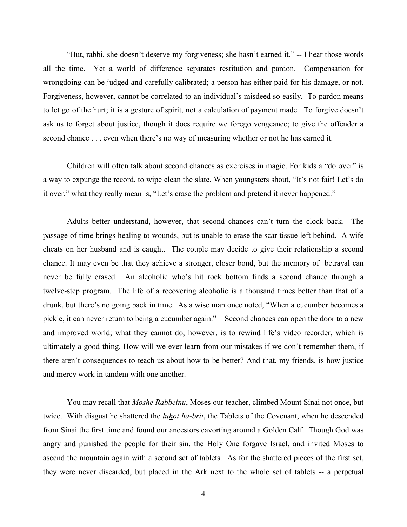"But, rabbi, she doesn't deserve my forgiveness; she hasn't earned it." -- I hear those words all the time. Yet a world of difference separates restitution and pardon. Compensation for wrongdoing can be judged and carefully calibrated; a person has either paid for his damage, or not. Forgiveness, however, cannot be correlated to an individual's misdeed so easily. To pardon means to let go of the hurt; it is a gesture of spirit, not a calculation of payment made. To forgive doesn't ask us to forget about justice, though it does require we forego vengeance; to give the offender a second chance . . . even when there's no way of measuring whether or not he has earned it.

Children will often talk about second chances as exercises in magic. For kids a "do over" is a way to expunge the record, to wipe clean the slate. When youngsters shout, "It's not fair! Let's do it over," what they really mean is, "Let's erase the problem and pretend it never happened."

Adults better understand, however, that second chances can't turn the clock back. The passage of time brings healing to wounds, but is unable to erase the scar tissue left behind. A wife cheats on her husband and is caught. The couple may decide to give their relationship a second chance. It may even be that they achieve a stronger, closer bond, but the memory of betrayal can never be fully erased. An alcoholic who's hit rock bottom finds a second chance through a twelve-step program. The life of a recovering alcoholic is a thousand times better than that of a drunk, but there's no going back in time. As a wise man once noted, "When a cucumber becomes a pickle, it can never return to being a cucumber again." Second chances can open the door to a new and improved world; what they cannot do, however, is to rewind life's video recorder, which is ultimately a good thing. How will we ever learn from our mistakes if we don't remember them, if there aren't consequences to teach us about how to be better? And that, my friends, is how justice and mercy work in tandem with one another.

You may recall that *Moshe Rabbeinu*, Moses our teacher, climbed Mount Sinai not once, but twice. With disgust he shattered the *luhot ha-brit*, the Tablets of the Covenant, when he descended from Sinai the first time and found our ancestors cavorting around a Golden Calf. Though God was angry and punished the people for their sin, the Holy One forgave Israel, and invited Moses to ascend the mountain again with a second set of tablets. As for the shattered pieces of the first set, they were never discarded, but placed in the Ark next to the whole set of tablets -- a perpetual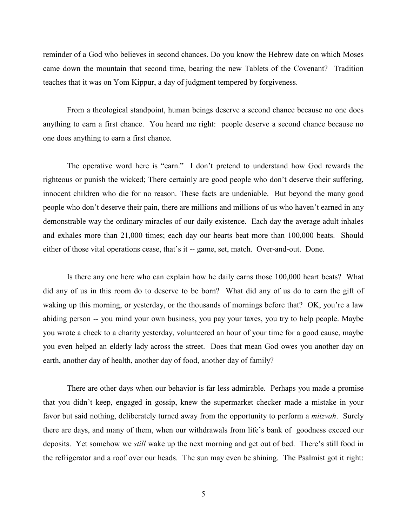reminder of a God who believes in second chances. Do you know the Hebrew date on which Moses came down the mountain that second time, bearing the new Tablets of the Covenant? Tradition teaches that it was on Yom Kippur, a day of judgment tempered by forgiveness.

From a theological standpoint, human beings deserve a second chance because no one does anything to earn a first chance. You heard me right: people deserve a second chance because no one does anything to earn a first chance.

The operative word here is "earn." I don't pretend to understand how God rewards the righteous or punish the wicked; There certainly are good people who don't deserve their suffering, innocent children who die for no reason. These facts are undeniable. But beyond the many good people who don't deserve their pain, there are millions and millions of us who haven't earned in any demonstrable way the ordinary miracles of our daily existence. Each day the average adult inhales and exhales more than 21,000 times; each day our hearts beat more than 100,000 beats. Should either of those vital operations cease, that's it -- game, set, match. Over-and-out. Done.

Is there any one here who can explain how he daily earns those 100,000 heart beats? What did any of us in this room do to deserve to be born? What did any of us do to earn the gift of waking up this morning, or yesterday, or the thousands of mornings before that? OK, you're a law abiding person -- you mind your own business, you pay your taxes, you try to help people. Maybe you wrote a check to a charity yesterday, volunteered an hour of your time for a good cause, maybe you even helped an elderly lady across the street. Does that mean God <u>owes</u> you another day on earth, another day of health, another day of food, another day of family?

There are other days when our behavior is far less admirable. Perhaps you made a promise that you didn't keep, engaged in gossip, knew the supermarket checker made a mistake in your favor but said nothing, deliberately turned away from the opportunity to perform a *mitzvah*. Surely there are days, and many of them, when our withdrawals from life's bank of goodness exceed our deposits. Yet somehow we *still* wake up the next morning and get out of bed. There's still food in the refrigerator and a roof over our heads. The sun may even be shining. The Psalmist got it right: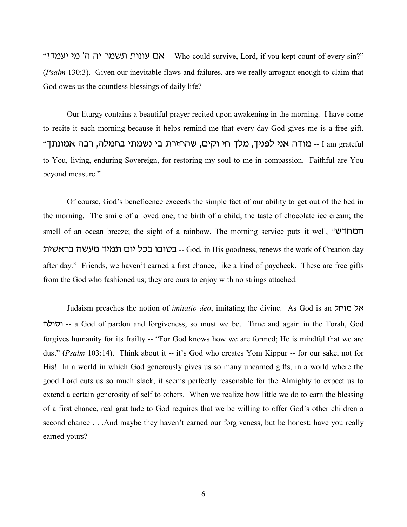"?אם עונות תשמר יה ה' מי יעמד -- Who could survive, Lord, if you kept count of every sin" (*Psalm* 130:3). Given our inevitable flaws and failures, are we really arrogant enough to claim that God owes us the countless blessings of daily life?

Our liturgy contains a beautiful prayer recited upon awakening in the morning. I have come to recite it each morning because it helps remind me that every day God gives me is a free gift. I am grateful -- מודה אני לפניך, מלך חי וקים, שהחזרת בי נשמתי בחמלה, רבה אמונתך to You, living, enduring Sovereign, for restoring my soul to me in compassion. Faithful are You beyond measure."

Of course, God's beneficence exceeds the simple fact of our ability to get out of the bed in the morning. The smile of a loved one; the birth of a child; the taste of chocolate ice cream; the smell of an ocean breeze; the sight of a rainbow. The morning service puts it well, "המחדש ה בטובו בכל יום תמיד מעשה בראשית -- God, in His goodness, renews the work of Creation day after day." Friends, we haven't earned a first chance, like a kind of paycheck. These are free gifts from the God who fashioned us; they are ours to enjoy with no strings attached.

Judaism preaches the notion of *imitatio deo*, imitating the divine. As God is an אל מוחל jkuxu -- a God of pardon and forgiveness, so must we be. Time and again in the Torah, God forgives humanity for its frailty -- "For God knows how we are formed; He is mindful that we are dust" (*Psalm* 103:14). Think about it -- it's God who creates Yom Kippur -- for our sake, not for His! In a world in which God generously gives us so many unearned gifts, in a world where the good Lord cuts us so much slack, it seems perfectly reasonable for the Almighty to expect us to extend a certain generosity of self to others. When we realize how little we do to earn the blessing of a first chance, real gratitude to God requires that we be willing to offer God's other children a second chance . . .And maybe they haven't earned our forgiveness, but be honest: have you really earned yours?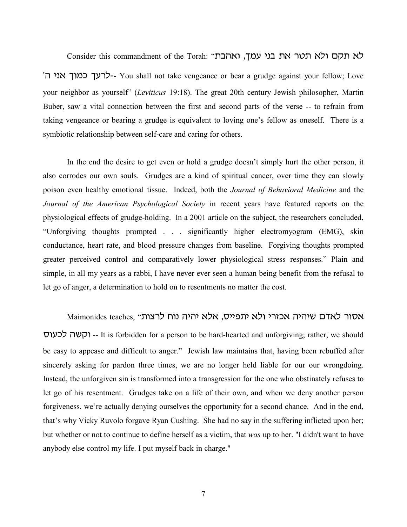Consider this commandment of the Torah: "לא תקם ולא תטר את בני עמך, ואהבת

'כלרעך כמוך אני ה-You shall not take vengeance or bear a grudge against your fellow; Love your neighbor as yourself" (*Leviticus* 19:18). The great 20th century Jewish philosopher, Martin Buber, saw a vital connection between the first and second parts of the verse -- to refrain from taking vengeance or bearing a grudge is equivalent to loving one's fellow as oneself. There is a symbiotic relationship between self-care and caring for others.

In the end the desire to get even or hold a grudge doesn't simply hurt the other person, it also corrodes our own souls. Grudges are a kind of spiritual cancer, over time they can slowly poison even healthy emotional tissue. Indeed, both the *Journal of Behavioral Medicine* and the *Journal of the American Psychological Society* in recent years have featured reports on the physiological effects of grudge-holding. In a 2001 article on the subject, the researchers concluded, "Unforgiving thoughts prompted . . . significantly higher electromyogram (EMG), skin conductance, heart rate, and blood pressure changes from baseline. Forgiving thoughts prompted greater perceived control and comparatively lower physiological stress responses." Plain and simple, in all my years as a rabbi, I have never ever seen a human being benefit from the refusal to let go of anger, a determination to hold on to resentments no matter the cost.

Maimonides teaches, "אסור לאדם שיהיה אכזרי ולא יתפייס, אלא יהיה נוח לרצות וקשה לכעוס-It is forbidden for a person to be hard-hearted and unforgiving; rather, we should be easy to appease and difficult to anger." Jewish law maintains that, having been rebuffed after sincerely asking for pardon three times, we are no longer held liable for our our wrongdoing. Instead, the unforgiven sin is transformed into a transgression for the one who obstinately refuses to let go of his resentment. Grudges take on a life of their own, and when we deny another person forgiveness, we're actually denying ourselves the opportunity for a second chance. And in the end, that's why Vicky Ruvolo forgave Ryan Cushing. She had no say in the suffering inflicted upon her; but whether or not to continue to define herself as a victim, that *was* up to her. "I didn't want to have anybody else control my life. I put myself back in charge."